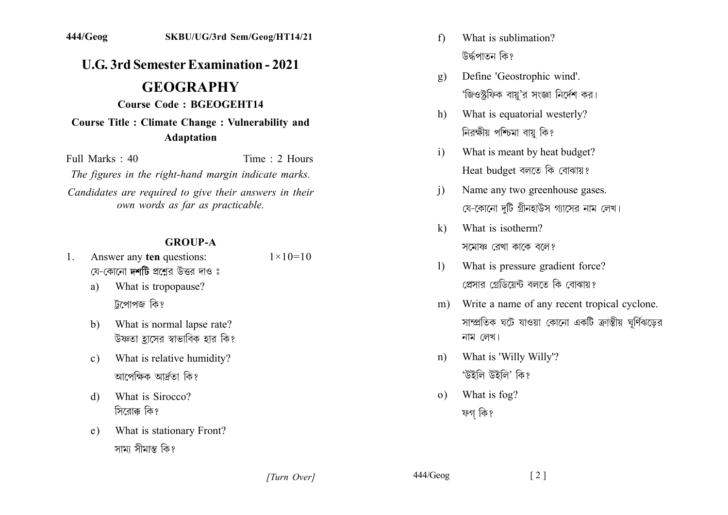# **U.G. 3rd Semester Examination - 2021**

# **GEOGRAPHY**

Course Code: BGEOGEHT14

### **Course Title : Climate Change : Vulnerability and Adaptation**

Full Marks  $\cdot$  40 Time  $\cdot$  2 Hours The figures in the right-hand margin indicate marks. Candidates are required to give their answers in their own words as far as practicable.

### **GROUP-A**

- Answer any ten questions:  $1 \times 10 = 10$  $1_{-}$ যে-কোনো **দশটি** প্রশ্নের উত্তর দাও ঃ
	- What is tropopause? a) ট্যপোপজ কি?
	- What is normal lapse rate?  $h$ উষ্ণতা হাসের স্বাভাবিক হার কি?
	- What is relative humidity?  $c)$ আপেক্ষিক আৰ্দ্ৰতা কি?
	- What is Sirocco?  $d$ সিরোক্ক কি?
	- What is stationary Front?  $e)$ সামা সীমান্ত কি?
- What is sublimation?  $f$ উৰ্দ্ধপাতন কি?
- Define 'Geostrophic wind'.  $g)$ 'জিওস্টফিক বায়'র সংজ্ঞা নির্দেশ কর।
- What is equatorial westerly?  $h$ ) নিরক্ষীয় পশ্চিমা বায় কি?
- What is meant by heat budget?  $i)$ Heat budget বলতে কি বোঝায়?
- Name any two greenhouse gases.  $\mathbf{i}$ যে-কোনো দটি গ্রীনহাউস গ্যাসের নাম লেখ।
- $\bf k$ What is isotherm? সমোষ্ণ রেখা কাকে বলে?
- $\mathbf{D}$ What is pressure gradient force? প্রেসার গ্রেডিয়েন্ট বলতে কি বোঝায়?
- m) Write a name of any recent tropical cyclone. সাম্প্রতিক ঘটে যাওয়া কোনো একটি ক্রান্তীয় ঘূর্ণিঝড়ের নাম লেখ।
- What is 'Willy Willy'?  $n)$ 'উইলি উইলি' কি?
- What is fog?  $\Omega$ ফগ কি?

[Turn Over]